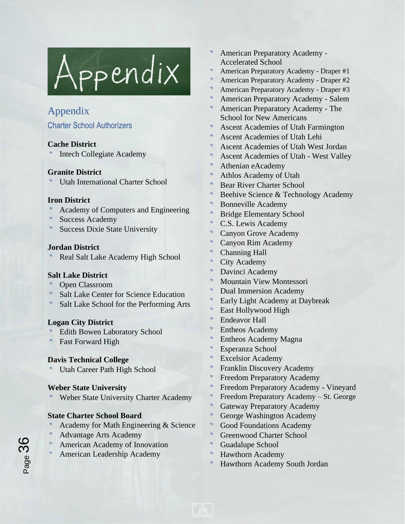

# Appendix

# Charter School Authorizers

# **Cache District**

Intech Collegiate Academy

# **Granite District**

Utah International Charter School

# **Iron District**

- Academy of Computers and Engineering
- Success Academy
- Success Dixie State University

# **Jordan District**

Real Salt Lake Academy High School

# **Salt Lake District**

- Open Classroom
- Salt Lake Center for Science Education
- Salt Lake School for the Performing Arts

# **Logan City District**

- Edith Bowen Laboratory School
- Fast Forward High

# **Davis Technical College**

Utah Career Path High School

# **Weber State University**

Weber State University Charter Academy

# **State Charter School Board**

- Academy for Math Engineering & Science
- Advantage Arts Academy

Page 36

- American Academy of Innovation
- American Leadership Academy
- American Preparatory Academy Accelerated School
- American Preparatory Academy Draper #1
- American Preparatory Academy Draper #2
- American Preparatory Academy Draper #3
- American Preparatory Academy Salem
- American Preparatory Academy The School for New Americans
- Ascent Academies of Utah Farmington
- Ascent Academies of Utah Lehi
- Ascent Academies of Utah West Jordan
- Ascent Academies of Utah West Valley
- Athenian eAcademy
- Athlos Academy of Utah
- Bear River Charter School
- Beehive Science & Technology Academy
- Bonneville Academy
- Bridge Elementary School
- C.S. Lewis Academy
- Canyon Grove Academy
- Canyon Rim Academy
- Channing Hall
- City Academy
- Davinci Academy
- Mountain View Montessori
- Dual Immersion Academy
- Early Light Academy at Daybreak
- East Hollywood High
- Endeavor Hall
- Entheos Academy
- Entheos Academy Magna
- Esperanza School
- Excelsior Academy
- Franklin Discovery Academy
- Freedom Preparatory Academy
- Freedom Preparatory Academy Vineyard
- Freedom Preparatory Academy St. George
- Gateway Preparatory Academy
- George Washington Academy
- Good Foundations Academy
- Greenwood Charter School
- Guadalupe School
- Hawthorn Academy
- Hawthorn Academy South Jordan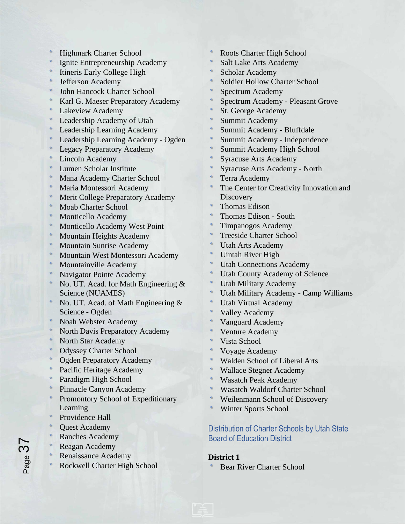- Highmark Charter School
- Ignite Entrepreneurship Academy
- Itineris Early College High
- Jefferson Academy
- John Hancock Charter School
- Karl G. Maeser Preparatory Academy
- Lakeview Academy
- Leadership Academy of Utah
- Leadership Learning Academy
- Leadership Learning Academy Ogden
- Legacy Preparatory Academy
- Lincoln Academy
- Lumen Scholar Institute
- Mana Academy Charter School
- Maria Montessori Academy
- Merit College Preparatory Academy
- Moab Charter School
- Monticello Academy
- Monticello Academy West Point
- Mountain Heights Academy
- Mountain Sunrise Academy
- Mountain West Montessori Academy
- Mountainville Academy
- Navigator Pointe Academy
- No. UT. Acad. for Math Engineering & Science (NUAMES)
- No. UT. Acad. of Math Engineering & Science - Ogden
- Noah Webster Academy
- North Davis Preparatory Academy
- North Star Academy
- Odyssey Charter School
- Ogden Preparatory Academy
- Pacific Heritage Academy
- Paradigm High School
- Pinnacle Canyon Academy
- Promontory School of Expeditionary Learning
- Providence Hall
- Quest Academy
- Ranches Academy
- Reagan Academy
- Renaissance Academy
- Rockwell Charter High School
- Roots Charter High School
- Salt Lake Arts Academy
- Scholar Academy
- Soldier Hollow Charter School
- Spectrum Academy
- Spectrum Academy Pleasant Grove
- St. George Academy
- Summit Academy
- Summit Academy Bluffdale
- Summit Academy Independence
- Summit Academy High School
- Syracuse Arts Academy
- Syracuse Arts Academy North
- Terra Academy
- The Center for Creativity Innovation and **Discovery**
- Thomas Edison
- Thomas Edison South
- Timpanogos Academy
- Treeside Charter School
- Utah Arts Academy
- Uintah River High
- Utah Connections Academy
- Utah County Academy of Science
- Utah Military Academy
- Utah Military Academy Camp Williams
- Utah Virtual Academy
- Valley Academy
- Vanguard Academy
- Venture Academy
- Vista School
- Voyage Academy
- Walden School of Liberal Arts
- Wallace Stegner Academy
- Wasatch Peak Academy
- Wasatch Waldorf Charter School
- Weilenmann School of Discovery
- Winter Sports School

# Distribution of Charter Schools by Utah State Board of Education District

#### **District 1**

Bear River Charter School

Page 37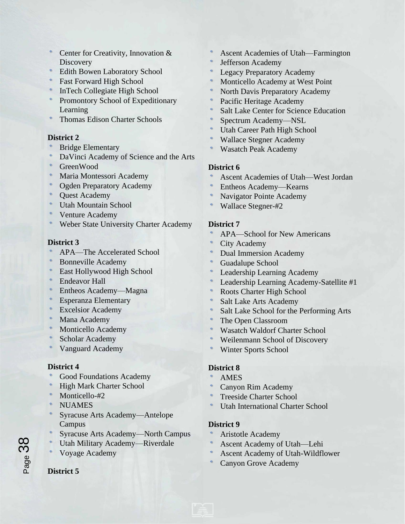- Center for Creativity, Innovation & **Discovery**
- Edith Bowen Laboratory School
- Fast Forward High School
- InTech Collegiate High School
- Promontory School of Expeditionary Learning
- Thomas Edison Charter Schools

#### **District 2**

- Bridge Elementary
- DaVinci Academy of Science and the Arts
- GreenWood
- Maria Montessori Academy
- Ogden Preparatory Academy
- Quest Academy
- Utah Mountain School
- Venture Academy
- Weber State University Charter Academy

#### **District 3**

- APA—The Accelerated School
- Bonneville Academy
- East Hollywood High School
- Endeavor Hall
- Entheos Academy—Magna
- Esperanza Elementary
- Excelsior Academy
- Mana Academy
- Monticello Academy
- Scholar Academy
- Vanguard Academy

#### **District 4**

- Good Foundations Academy
- High Mark Charter School
- Monticello-#2
- **NUAMES**
- Syracuse Arts Academy—Antelope Campus
- Syracuse Arts Academy—North Campus
- Utah Military Academy—Riverdale
- Voyage Academy

#### **District 5**

- Ascent Academies of Utah—Farmington
- Jefferson Academy
- Legacy Preparatory Academy
- Monticello Academy at West Point
- North Davis Preparatory Academy
- Pacific Heritage Academy
- Salt Lake Center for Science Education
- Spectrum Academy—NSL
- Utah Career Path High School
- Wallace Stegner Academy
- Wasatch Peak Academy

#### **District 6**

- Ascent Academies of Utah—West Jordan
- Entheos Academy—Kearns
- Navigator Pointe Academy
- Wallace Stegner-#2

#### **District 7**

- APA—School for New Americans
- City Academy
- Dual Immersion Academy
- Guadalupe School
- Leadership Learning Academy
- Leadership Learning Academy-Satellite #1
- Roots Charter High School
- Salt Lake Arts Academy
- Salt Lake School for the Performing Arts
- The Open Classroom
- Wasatch Waldorf Charter School
- Weilenmann School of Discovery
- Winter Sports School

#### **District 8**

- AMES
- Canyon Rim Academy
- Treeside Charter School
- Utah International Charter School

#### **District 9**

- Aristotle Academy
- Ascent Academy of Utah—Lehi
- Ascent Academy of Utah-Wildflower
- Canyon Grove Academy

Page 38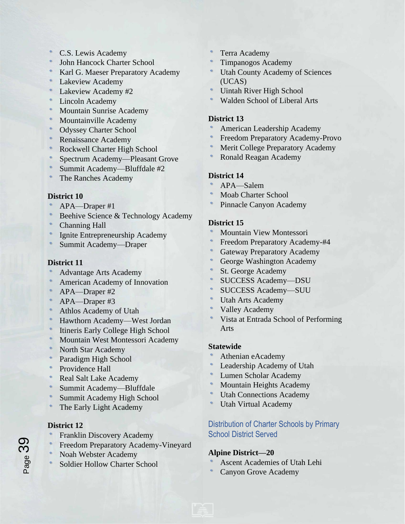- C.S. Lewis Academy
- John Hancock Charter School
- Karl G. Maeser Preparatory Academy
- Lakeview Academy
- Lakeview Academy #2
- Lincoln Academy
- Mountain Sunrise Academy
- Mountainville Academy
- Odyssey Charter School
- Renaissance Academy
- Rockwell Charter High School
- Spectrum Academy—Pleasant Grove
- Summit Academy—Bluffdale #2
- The Ranches Academy

#### **District 10**

- APA—Draper #1
- Beehive Science & Technology Academy
- Channing Hall
- Ignite Entrepreneurship Academy
- Summit Academy—Draper

#### **District 11**

- Advantage Arts Academy
- American Academy of Innovation
- APA—Draper #2
- APA—Draper #3
- Athlos Academy of Utah
- Hawthorn Academy—West Jordan
- Itineris Early College High School
- Mountain West Montessori Academy
- North Star Academy
- Paradigm High School
- Providence Hall
- Real Salt Lake Academy
- Summit Academy—Bluffdale
- Summit Academy High School
- The Early Light Academy

# **District 12**

Page 39

- Franklin Discovery Academy
- Freedom Preparatory Academy-Vineyard
- Noah Webster Academy
- Soldier Hollow Charter School
- Terra Academy
- Timpanogos Academy
- Utah County Academy of Sciences (UCAS)
- Uintah River High School
- Walden School of Liberal Arts

### **District 13**

- American Leadership Academy
- Freedom Preparatory Academy-Provo
- Merit College Preparatory Academy
- Ronald Reagan Academy

# **District 14**

- APA—Salem
- Moab Charter School
- Pinnacle Canyon Academy

# **District 15**

- Mountain View Montessori
- Freedom Preparatory Academy-#4
- Gateway Preparatory Academy
- George Washington Academy
- St. George Academy
- SUCCESS Academy—DSU
- SUCCESS Academy—SUU
- Utah Arts Academy
- Valley Academy
- Vista at Entrada School of Performing Arts

#### **Statewide**

- Athenian eAcademy
- Leadership Academy of Utah
- Lumen Scholar Academy
- Mountain Heights Academy
- Utah Connections Academy
- Utah Virtual Academy

# Distribution of Charter Schools by Primary School District Served

# **Alpine District—20**

- Ascent Academies of Utah Lehi
- Canyon Grove Academy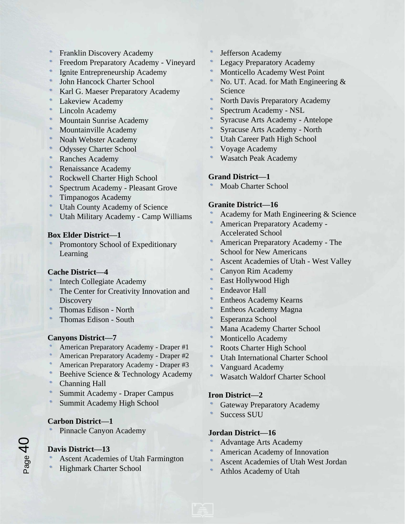- Franklin Discovery Academy
- Freedom Preparatory Academy Vineyard
- Ignite Entrepreneurship Academy
- John Hancock Charter School
- Karl G. Maeser Preparatory Academy
- Lakeview Academy
- Lincoln Academy
- Mountain Sunrise Academy
- Mountainville Academy
- Noah Webster Academy
- Odyssey Charter School
- Ranches Academy
- Renaissance Academy
- Rockwell Charter High School
- Spectrum Academy Pleasant Grove
- Timpanogos Academy
- Utah County Academy of Science
- Utah Military Academy Camp Williams

#### **Box Elder District—1**

Promontory School of Expeditionary Learning

# **Cache District—4**

- Intech Collegiate Academy
- The Center for Creativity Innovation and **Discovery**
- Thomas Edison North
- Thomas Edison South

# **Canyons District—7**

- American Preparatory Academy Draper #1
- American Preparatory Academy Draper #2
- American Preparatory Academy Draper #3
- Beehive Science & Technology Academy
- Channing Hall
- Summit Academy Draper Campus
- Summit Academy High School

# **Carbon District—1**

Pinnacle Canyon Academy

# **Davis District—13**

- Ascent Academies of Utah Farmington
- Highmark Charter School
- Jefferson Academy
- Legacy Preparatory Academy
- Monticello Academy West Point
- No. UT. Acad. for Math Engineering & Science
- North Davis Preparatory Academy
- Spectrum Academy NSL
- Syracuse Arts Academy Antelope
- Syracuse Arts Academy North
- Utah Career Path High School
- Voyage Academy
- Wasatch Peak Academy

# **Grand District—1**

Moab Charter School

# **Granite District—16**

- Academy for Math Engineering & Science
- American Preparatory Academy Accelerated School
- American Preparatory Academy The School for New Americans
- Ascent Academies of Utah West Valley
- Canyon Rim Academy
- East Hollywood High
- Endeavor Hall
- Entheos Academy Kearns
- Entheos Academy Magna
- Esperanza School
- Mana Academy Charter School
- Monticello Academy
- Roots Charter High School
- Utah International Charter School
- Vanguard Academy
- Wasatch Waldorf Charter School

# **Iron District—2**

- Gateway Preparatory Academy
- Success SUU

# **Jordan District—16**

- Advantage Arts Academy
- American Academy of Innovation
- Ascent Academies of Utah West Jordan
- Athlos Academy of Utah

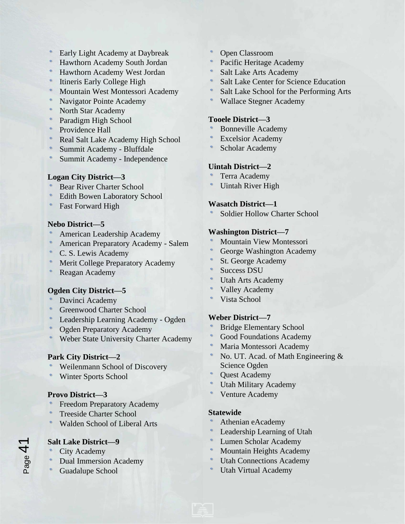- Early Light Academy at Daybreak
- Hawthorn Academy South Jordan
- Hawthorn Academy West Jordan
- Itineris Early College High
- Mountain West Montessori Academy
- Navigator Pointe Academy
- North Star Academy
- Paradigm High School
- Providence Hall
- Real Salt Lake Academy High School
- Summit Academy Bluffdale
- Summit Academy Independence

#### **Logan City District—3**

- Bear River Charter School
- Edith Bowen Laboratory School
- Fast Forward High

#### **Nebo District—5**

- American Leadership Academy
- American Preparatory Academy Salem
- C. S. Lewis Academy
- Merit College Preparatory Academy
- Reagan Academy

# **Ogden City District—5**

- Davinci Academy
- Greenwood Charter School
- Leadership Learning Academy Ogden
- Ogden Preparatory Academy
- Weber State University Charter Academy

# **Park City District—2**

- Weilenmann School of Discovery
- Winter Sports School

# **Provo District—3**

- Freedom Preparatory Academy
- Treeside Charter School
- Walden School of Liberal Arts

# **Salt Lake District—9**

- City Academy
- Dual Immersion Academy
- Guadalupe School
- Open Classroom
- Pacific Heritage Academy
- Salt Lake Arts Academy
- Salt Lake Center for Science Education
- Salt Lake School for the Performing Arts
- Wallace Stegner Academy

#### **Tooele District—3**

- Bonneville Academy
- Excelsior Academy
- Scholar Academy

# **Uintah District—2**

- Terra Academy
- Uintah River High

# **Wasatch District—1**

Soldier Hollow Charter School

#### **Washington District—7**

- Mountain View Montessori
- George Washington Academy
- St. George Academy
- Success DSU
- Utah Arts Academy
- Valley Academy
- Vista School

# **Weber District—7**

- Bridge Elementary School
- Good Foundations Academy
- Maria Montessori Academy
- No. UT. Acad. of Math Engineering & Science Ogden
- Quest Academy
- Utah Military Academy
- Venture Academy

#### **Statewide**

- Athenian eAcademy
- Leadership Learning of Utah
- Lumen Scholar Academy
- Mountain Heights Academy
- Utah Connections Academy
- Utah Virtual Academy

Page  $4^{\degree}$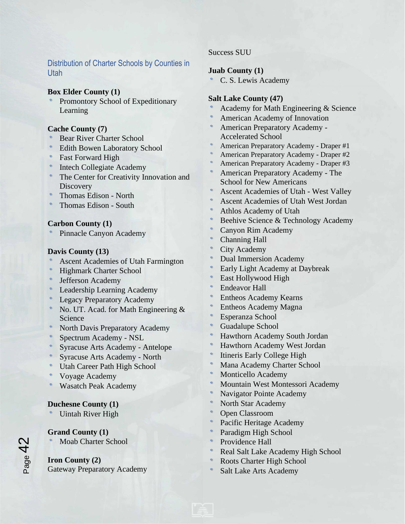Distribution of Charter Schools by Counties in Utah

#### **Box Elder County (1)**

Promontory School of Expeditionary Learning

#### **Cache County (7)**

- Bear River Charter School
- Edith Bowen Laboratory School
- Fast Forward High
- Intech Collegiate Academy
- The Center for Creativity Innovation and **Discovery**
- Thomas Edison North
- Thomas Edison South

#### **Carbon County (1)**

Pinnacle Canyon Academy

#### **Davis County (13)**

- Ascent Academies of Utah Farmington
- Highmark Charter School
- Jefferson Academy
- Leadership Learning Academy
- Legacy Preparatory Academy
- No. UT. Acad. for Math Engineering & Science
- North Davis Preparatory Academy
- Spectrum Academy NSL
- Syracuse Arts Academy Antelope
- Syracuse Arts Academy North
- Utah Career Path High School
- Voyage Academy
- Wasatch Peak Academy

# **Duchesne County (1)**

Uintah River High

#### **Grand County (1)**

Moab Charter School

# **Iron County (2)**

Gateway Preparatory Academy

#### Success SUU

#### **Juab County (1)**

C. S. Lewis Academy

### **Salt Lake County (47)**

- Academy for Math Engineering & Science
- American Academy of Innovation
- American Preparatory Academy Accelerated School
- American Preparatory Academy Draper #1
- American Preparatory Academy Draper #2
- American Preparatory Academy Draper #3
- American Preparatory Academy The School for New Americans
- Ascent Academies of Utah West Valley
- Ascent Academies of Utah West Jordan
- Athlos Academy of Utah
- Beehive Science & Technology Academy
- Canyon Rim Academy
- Channing Hall
- City Academy
- Dual Immersion Academy
- Early Light Academy at Daybreak
- East Hollywood High
- Endeavor Hall
- Entheos Academy Kearns
- Entheos Academy Magna
- Esperanza School
- Guadalupe School
- Hawthorn Academy South Jordan
- Hawthorn Academy West Jordan
- Itineris Early College High
- Mana Academy Charter School
- Monticello Academy
- Mountain West Montessori Academy
- Navigator Pointe Academy
- North Star Academy
- Open Classroom
- Pacific Heritage Academy
- Paradigm High School
- Providence Hall
- Real Salt Lake Academy High School
- Roots Charter High School
- Salt Lake Arts Academy



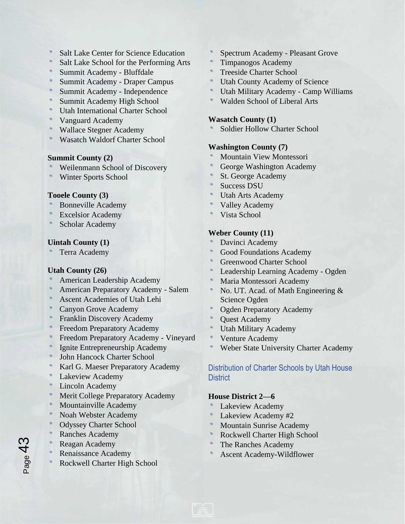- Salt Lake Center for Science Education
- Salt Lake School for the Performing Arts
- Summit Academy Bluffdale
- Summit Academy Draper Campus
- Summit Academy Independence
- Summit Academy High School
- Utah International Charter School
- Vanguard Academy
- Wallace Stegner Academy
- Wasatch Waldorf Charter School

#### **Summit County (2)**

- Weilenmann School of Discovery
- Winter Sports School

#### **Tooele County (3)**

- Bonneville Academy
- Excelsior Academy
- Scholar Academy

#### **Uintah County (1)**

Terra Academy

#### **Utah County (26)**

- American Leadership Academy
- American Preparatory Academy Salem
- Ascent Academies of Utah Lehi
- Canyon Grove Academy
- Franklin Discovery Academy
- Freedom Preparatory Academy
- Freedom Preparatory Academy Vineyard
- Ignite Entrepreneurship Academy
- John Hancock Charter School
- Karl G. Maeser Preparatory Academy
- Lakeview Academy
- Lincoln Academy
- Merit College Preparatory Academy
- Mountainville Academy
- Noah Webster Academy
- Odyssey Charter School
- Ranches Academy
- Reagan Academy

 $\epsilon$ 

- Renaissance Academy
- Rockwell Charter High School
- Spectrum Academy Pleasant Grove
- Timpanogos Academy
- Treeside Charter School
- Utah County Academy of Science
- Utah Military Academy Camp Williams
- Walden School of Liberal Arts

#### **Wasatch County (1)**

Soldier Hollow Charter School

#### **Washington County (7)**

- Mountain View Montessori
- George Washington Academy
- St. George Academy
- Success DSU
- Utah Arts Academy
- Valley Academy
- Vista School

#### **Weber County (11)**

- Davinci Academy
- Good Foundations Academy
- Greenwood Charter School
- Leadership Learning Academy Ogden
- Maria Montessori Academy
- No. UT. Acad. of Math Engineering & Science Ogden
- Ogden Preparatory Academy
- Quest Academy
- Utah Military Academy
- Venture Academy
- Weber State University Charter Academy

# Distribution of Charter Schools by Utah House **District**

#### **House District 2—6**

- Lakeview Academy
- Lakeview Academy #2
- Mountain Sunrise Academy
- Rockwell Charter High School
- The Ranches Academy
- Ascent Academy-Wildflower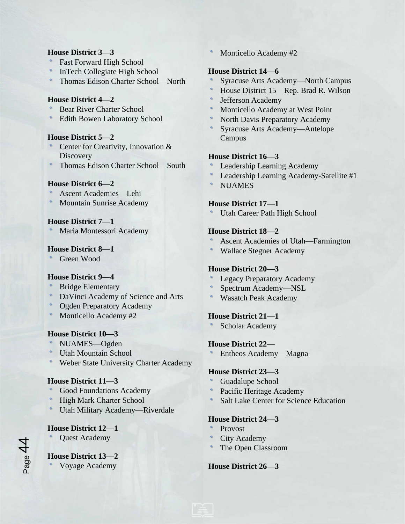#### **House District 3—3**

- Fast Forward High School
- InTech Collegiate High School
- Thomas Edison Charter School—North

#### **House District 4—2**

- Bear River Charter School
- Edith Bowen Laboratory School

#### **House District 5—2**

- Center for Creativity, Innovation & **Discovery**
- Thomas Edison Charter School—South

# **House District 6—2**

- Ascent Academies—Lehi
- Mountain Sunrise Academy

#### **House District 7—1**

Maria Montessori Academy

#### **House District 8—1**

Green Wood

# **House District 9—4**

- Bridge Elementary
- DaVinci Academy of Science and Arts
- Ogden Preparatory Academy
- Monticello Academy #2

# **House District 10—3**

- NUAMES––Ogden
- Utah Mountain School
- Weber State University Charter Academy

#### **House District 11—3**

- Good Foundations Academy
- High Mark Charter School
- Utah Military Academy—Riverdale

# **House District 12—1**

Quest Academy

# **House District 13—2**

Voyage Academy

Monticello Academy #2

### **House District 14—6**

- Syracuse Arts Academy—North Campus
- House District 15—Rep. Brad R. Wilson
- Jefferson Academy
- Monticello Academy at West Point
- North Davis Preparatory Academy
- Syracuse Arts Academy—Antelope Campus

# **House District 16—3**

- Leadership Learning Academy
- Leadership Learning Academy-Satellite #1
- **NUAMES**

# **House District 17—1**

Utah Career Path High School

#### **House District 18—2**

- Ascent Academies of Utah—Farmington
- Wallace Stegner Academy

# **House District 20—3**

- Legacy Preparatory Academy
- Spectrum Academy—NSL
- Wasatch Peak Academy

# **House District 21—1**

Scholar Academy

# **House District 22—**

Entheos Academy—Magna

# **House District 23—3**

- Guadalupe School
- Pacific Heritage Academy
- Salt Lake Center for Science Education

# **House District 24—3**

- Provost
- City Academy
- The Open Classroom

# **House District 26—3**

Page  $44$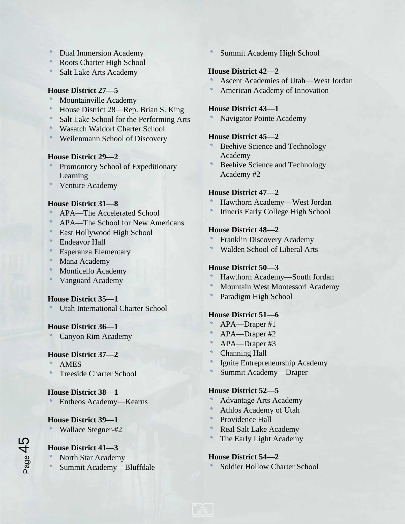- Dual Immersion Academy
- Roots Charter High School
- Salt Lake Arts Academy

# **House District 27—5**

- Mountainville Academy
- House District 28—Rep. Brian S. King
- Salt Lake School for the Performing Arts
- Wasatch Waldorf Charter School
- Weilenmann School of Discovery

#### **House District 29—2**

- Promontory School of Expeditionary Learning
- Venture Academy

# **House District 31—8**

- APA—The Accelerated School
- APA—The School for New Americans
- East Hollywood High School
- Endeavor Hall
- Esperanza Elementary
- Mana Academy
- Monticello Academy
- Vanguard Academy

# **House District 35—1**

Utah International Charter School

# **House District 36—1**

Canyon Rim Academy

# **House District 37—2**

- AMES
- Treeside Charter School

# **House District 38—1**

Entheos Academy—Kearns

# **House District 39—1**

Wallace Stegner-#2

# **House District 41—3**

- North Star Academy
- Summit Academy—Bluffdale

Summit Academy High School

# **House District 42—2**

- Ascent Academies of Utah—West Jordan
- American Academy of Innovation

### **House District 43—1**

Navigator Pointe Academy

# **House District 45—2**

- Beehive Science and Technology Academy
- Beehive Science and Technology Academy #2

# **House District 47—2**

- Hawthorn Academy—West Jordan
- Itineris Early College High School

#### **House District 48—2**

- Franklin Discovery Academy
- Walden School of Liberal Arts

# **House District 50—3**

- Hawthorn Academy—South Jordan
- Mountain West Montessori Academy
- Paradigm High School

# **House District 51—6**

- APA—Draper #1
- APA—Draper #2
- APA—Draper #3
- Channing Hall
- Ignite Entrepreneurship Academy
- Summit Academy—Draper

# **House District 52—5**

- Advantage Arts Academy
- Athlos Academy of Utah
- Providence Hall
- Real Salt Lake Academy
- The Early Light Academy

# **House District 54—2**

Soldier Hollow Charter School

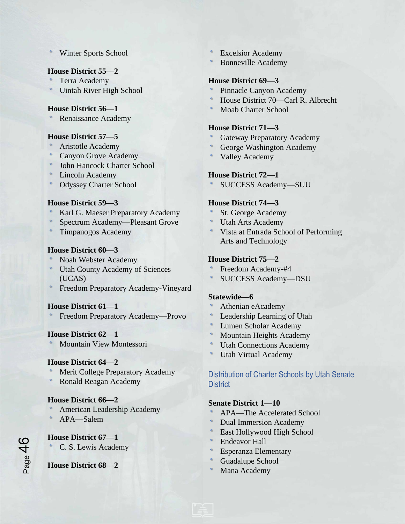Winter Sports School

### **House District 55—2**

- Terra Academy
- Uintah River High School

#### **House District 56—1**

Renaissance Academy

#### **House District 57—5**

- Aristotle Academy
- Canyon Grove Academy
- John Hancock Charter School
- Lincoln Academy
- Odyssey Charter School

#### **House District 59—3**

- Karl G. Maeser Preparatory Academy
- Spectrum Academy—Pleasant Grove
- Timpanogos Academy

#### **House District 60—3**

- Noah Webster Academy
- Utah County Academy of Sciences (UCAS)
- Freedom Preparatory Academy-Vineyard

#### **House District 61—1**

Freedom Preparatory Academy—Provo

#### **House District 62—1**

Mountain View Montessori

#### **House District 64—2**

- Merit College Preparatory Academy
- Ronald Reagan Academy

#### **House District 66—2**

- American Leadership Academy
- APA—Salem

# **House District 67—1**

C. S. Lewis Academy

#### **House District 68—2**

- Excelsior Academy
- Bonneville Academy

#### **House District 69—3**

- Pinnacle Canyon Academy
- House District 70—Carl R. Albrecht
- Moab Charter School

#### **House District 71—3**

- Gateway Preparatory Academy
- George Washington Academy
- Valley Academy

#### **House District 72—1**

SUCCESS Academy—SUU

#### **House District 74—3**

- St. George Academy
- Utah Arts Academy
- Vista at Entrada School of Performing Arts and Technology

#### **House District 75—2**

- Freedom Academy-#4
- SUCCESS Academy—DSU

#### **Statewide—6**

- Athenian eAcademy
- Leadership Learning of Utah
- Lumen Scholar Academy
- Mountain Heights Academy
- Utah Connections Academy
- Utah Virtual Academy

# Distribution of Charter Schools by Utah Senate **District**

# **Senate District 1—10**

- APA—The Accelerated School
- Dual Immersion Academy
- East Hollywood High School
- Endeavor Hall
- Esperanza Elementary
- Guadalupe School
- Mana Academy

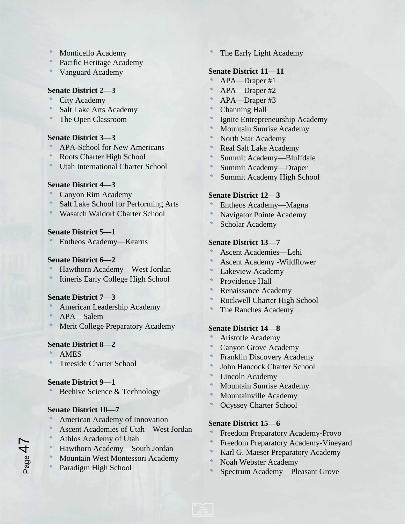- Monticello Academy
- Pacific Heritage Academy
- Vanguard Academy

# **Senate District 2—3**

- City Academy
- Salt Lake Arts Academy
- The Open Classroom

#### **Senate District 3—3**

- APA-School for New Americans
- Roots Charter High School
- Utah International Charter School

#### **Senate District 4—3**

- Canyon Rim Academy
- Salt Lake School for Performing Arts
- Wasatch Waldorf Charter School

#### **Senate District 5—1**

Entheos Academy—Kearns

# **Senate District 6—2**

- Hawthorn Academy—West Jordan
- Itineris Early College High School

# **Senate District 7—3**

- American Leadership Academy
- APA—Salem
- Merit College Preparatory Academy

# **Senate District 8—2**

AMES

 $P_{\text{age}}$ 4

Treeside Charter School

#### **Senate District 9—1**

Beehive Science & Technology

# **Senate District 10—7**

- American Academy of Innovation
- Ascent Academies of Utah—West Jordan
- Athlos Academy of Utah
- Hawthorn Academy—South Jordan
- Mountain West Montessori Academy
- Paradigm High School

The Early Light Academy

# **Senate District 11—11**

- APA—Draper #1
- APA—Draper #2
- APA—Draper #3
- Channing Hall
- Ignite Entrepreneurship Academy
- Mountain Sunrise Academy
- North Star Academy
- Real Salt Lake Academy
- Summit Academy—Bluffdale
- Summit Academy—Draper
- Summit Academy High School

# **Senate District 12—3**

- Entheos Academy—Magna
- Navigator Pointe Academy
- Scholar Academy

#### **Senate District 13—7**

- Ascent Academies—Lehi
- Ascent Academy -Wildflower
- Lakeview Academy
- Providence Hall
- Renaissance Academy
- Rockwell Charter High School
- The Ranches Academy

#### **Senate District 14—8**

- Aristotle Academy
- Canyon Grove Academy
- Franklin Discovery Academy
- John Hancock Charter School
- Lincoln Academy
- Mountain Sunrise Academy
- Mountainville Academy
- Odyssey Charter School

# **Senate District 15—6**

- Freedom Preparatory Academy-Provo
- Freedom Preparatory Academy-Vineyard
- Karl G. Maeser Preparatory Academy
- Noah Webster Academy
- Spectrum Academy—Pleasant Grove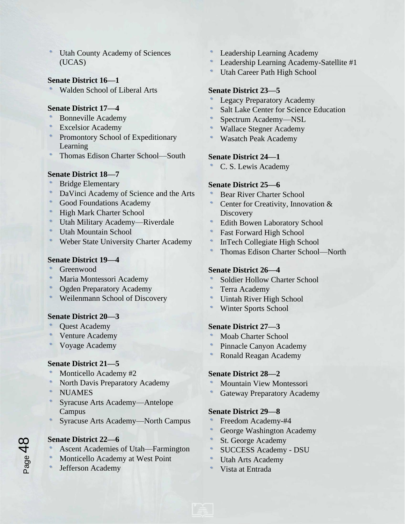Utah County Academy of Sciences (UCAS)

# **Senate District 16—1**

Walden School of Liberal Arts

#### **Senate District 17—4**

- Bonneville Academy
- Excelsior Academy
- Promontory School of Expeditionary Learning
- Thomas Edison Charter School—South

#### **Senate District 18—7**

- Bridge Elementary
- DaVinci Academy of Science and the Arts
- Good Foundations Academy
- High Mark Charter School
- Utah Military Academy—Riverdale
- Utah Mountain School
- Weber State University Charter Academy

### **Senate District 19—4**

- Greenwood
- Maria Montessori Academy
- Ogden Preparatory Academy
- Weilenmann School of Discovery

# **Senate District 20—3**

- Quest Academy
- Venture Academy
- Voyage Academy

# **Senate District 21—5**

- Monticello Academy #2
- North Davis Preparatory Academy
- **NUAMES**
- Syracuse Arts Academy—Antelope Campus
- Syracuse Arts Academy—North Campus

# **Senate District 22—6**

- Ascent Academies of Utah—Farmington
- Monticello Academy at West Point
- Jefferson Academy
- Leadership Learning Academy
- Leadership Learning Academy-Satellite #1
- Utah Career Path High School

### **Senate District 23—5**

- Legacy Preparatory Academy
- Salt Lake Center for Science Education
- Spectrum Academy—NSL
- Wallace Stegner Academy
- Wasatch Peak Academy

# **Senate District 24—1**

C. S. Lewis Academy

# **Senate District 25—6**

- Bear River Charter School
- Center for Creativity, Innovation & **Discovery**
- Edith Bowen Laboratory School
- Fast Forward High School
- InTech Collegiate High School
- Thomas Edison Charter School—North

#### **Senate District 26—4**

- Soldier Hollow Charter School
- Terra Academy
- Uintah River High School
- Winter Sports School

#### **Senate District 27—3**

- Moab Charter School
- Pinnacle Canyon Academy
- Ronald Reagan Academy

#### **Senate District 28—2**

- Mountain View Montessori
- Gateway Preparatory Academy

#### **Senate District 29—8**

- Freedom Academy-#4
- George Washington Academy
- St. George Academy
- SUCCESS Academy DSU
- Utah Arts Academy
- Vista at Entrada